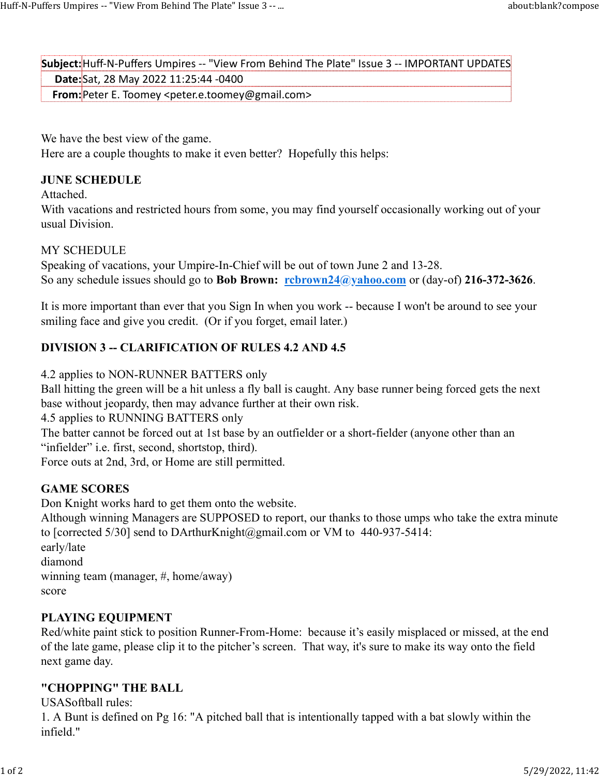Subject:Huff-N-Puffers Umpires -- "View From Behind The Plate" Issue 3 -- IMPORTANT UPDATES Date:Sat, 28 May 2022 11:25:44 -0400 From:Peter E. Toomey <peter.e.toomey@gmail.com> Huff-N-Puffers Umpires -- "View From Behind The Plate" Issue 3 -- ...<br>Subject: Huff-N-Puffers Umpires -- "View From Behind The Plate" Issue 3 -- IMPORTANT UPDATES<br>Subject: Huff-N-Puffers Umpires -- "View From Behind The Pl

We have the best view of the game. Here are a couple thoughts to make it even better? Hopefully this helps:

### JUNE SCHEDULE

Attached.

With vacations and restricted hours from some, you may find yourself occasionally working out of your usual Division.

## MY SCHEDULE

Speaking of vacations, your Umpire-In-Chief will be out of town June 2 and 13-28. So any schedule issues should go to **Bob Brown:** rcbrown24@yahoo.com or (day-of) 216-372-3626.

It is more important than ever that you Sign In when you work -- because I won't be around to see your smiling face and give you credit. (Or if you forget, email later.)

# DIVISION 3 -- CLARIFICATION OF RULES 4.2 AND 4.5

#### 4.2 applies to NON-RUNNER BATTERS only

Ball hitting the green will be a hit unless a fly ball is caught. Any base runner being forced gets the next base without jeopardy, then may advance further at their own risk.

4.5 applies to RUNNING BATTERS only

The batter cannot be forced out at 1st base by an outfielder or a short-fielder (anyone other than an "infielder" i.e. first, second, shortstop, third).

Force outs at 2nd, 3rd, or Home are still permitted.

## GAME SCORES

Don Knight works hard to get them onto the website.

Although winning Managers are SUPPOSED to report, our thanks to those umps who take the extra minute to [corrected 5/30] send to DArthurKnight@gmail.com or VM to 440-937-5414:

early/late diamond winning team (manager, #, home/away) score

## PLAYING EQUIPMENT

Red/white paint stick to position Runner-From-Home: because it's easily misplaced or missed, at the end of the late game, please clip it to the pitcher's screen. That way, it's sure to make its way onto the field next game day.

## "CHOPPING" THE BALL

USASoftball rules:

1. A Bunt is defined on Pg 16: "A pitched ball that is intentionally tapped with a bat slowly within the infield."